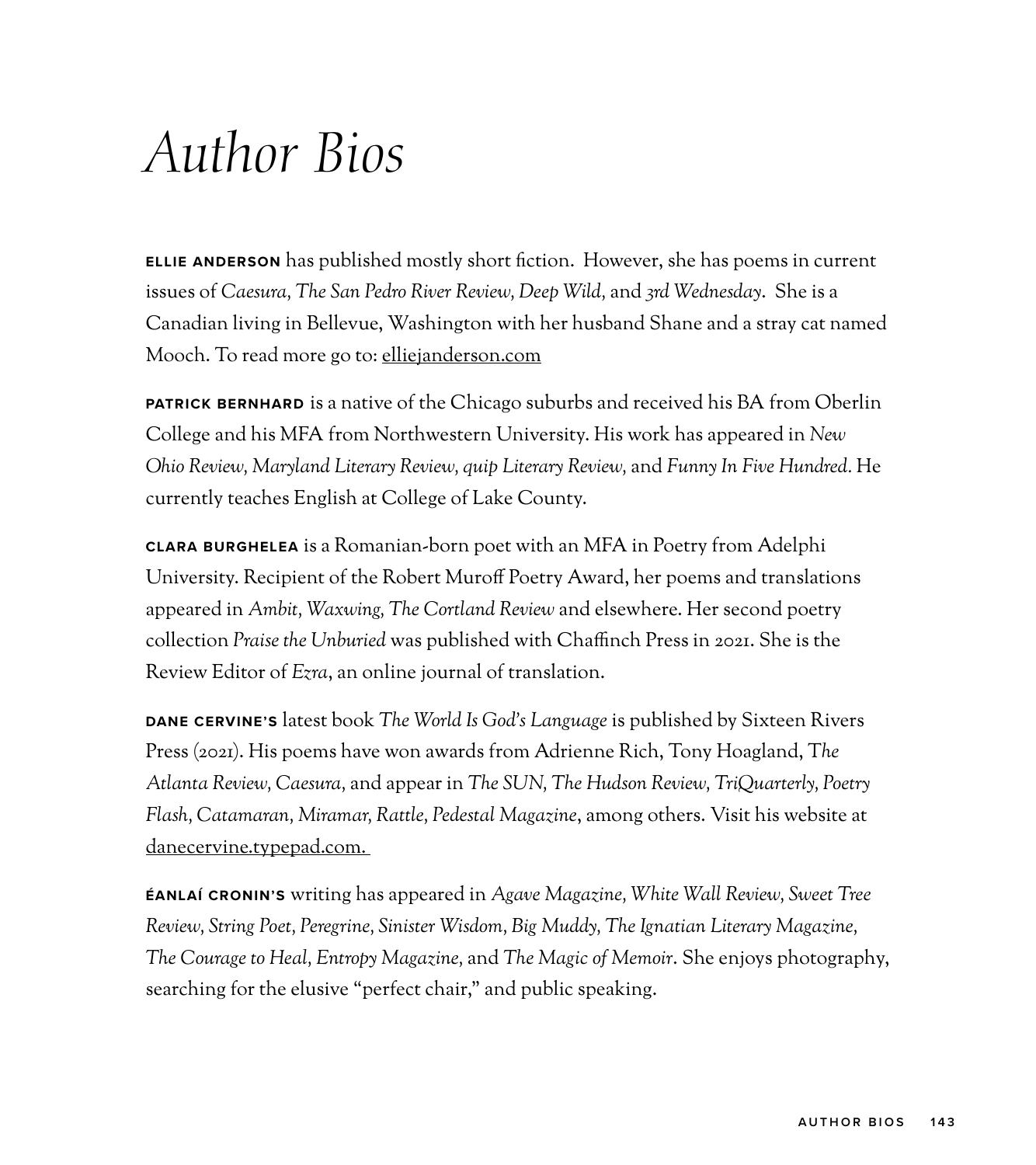## *Author Bios*

**ELLIE ANDERSON** has published mostly short fiction. However, she has poems in current issues of *Caesura, The San Pedro River Review, Deep Wild,* and *3rd Wednesday*. She is a Canadian living in Bellevue, Washington with her husband Shane and a stray cat named Mooch. To read more go to: [elliejanderson.com](http://elliejanderson.com)

**PATRICK BERNHARD** is a native of the Chicago suburbs and received his BA from Oberlin College and his MFA from Northwestern University. His work has appeared in *New Ohio Review, Maryland Literary Review, quip Literary Review,* and *Funny In Five Hundred.* He currently teaches English at College of Lake County.

**CLARA BURGHELEA** is a Romanian-born poet with an MFA in Poetry from Adelphi University. Recipient of the Robert Muroff Poetry Award, her poems and translations appeared in *Ambit, Waxwing, The Cortland Review* and elsewhere. Her second poetry collection *Praise the Unburied* was published with Chaffinch Press in 2021. She is the Review Editor of *Ezra*, an online journal of translation.

**DANE CERVINE'S** latest book *The World Is God's Language* is published by Sixteen Rivers Press (2021). His poems have won awards from Adrienne Rich, Tony Hoagland, T*he Atlanta Review, Caesura,* and appear in *The SUN, The Hudson Review, TriQuarterly, Poetry Flash, Catamaran, Miramar, Rattle, Pedestal Magazine*, among others. Visit his website at [danecervine.typepad.com.](http://danecervine.typepad.com)

**ÉANLAÍ CRONIN'S** writing has appeared in *Agave Magazine, White Wall Review, Sweet Tree Review, String Poet, Peregrine, Sinister Wisdom, Big Muddy, The Ignatian Literary Magazine, The Courage to Heal, Entropy Magazine,* and *The Magic of Memoir*. She enjoys photography, searching for the elusive "perfect chair," and public speaking.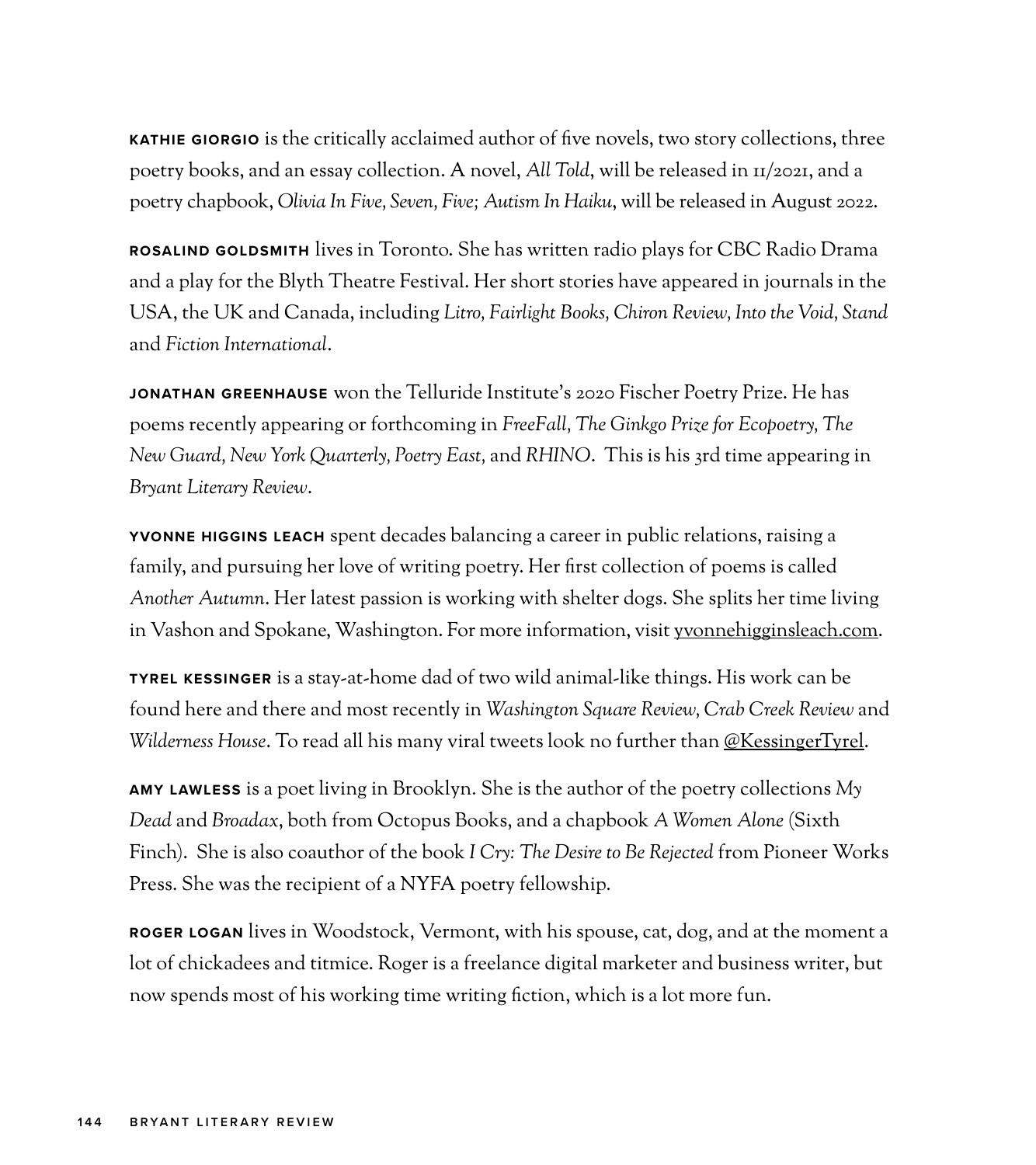**KATHIE GIORGIO** is the critically acclaimed author of five novels, two story collections, three poetry books, and an essay collection. A novel, *All Told*, will be released in 11/2021, and a poetry chapbook, *Olivia In Five, Seven, Five; Autism In Haiku*, will be released in August 2022.

**ROSALIND GOLDSMITH** lives in Toronto. She has written radio plays for CBC Radio Drama and a play for the Blyth Theatre Festival. Her short stories have appeared in journals in the USA, the UK and Canada, including *Litro, Fairlight Books, Chiron Review, Into the Void, Stand* and *Fiction International*.

**JONATHAN GREENHAUSE** won the Telluride Institute's 2020 Fischer Poetry Prize. He has poems recently appearing or forthcoming in *FreeFall, The Ginkgo Prize for Ecopoetry, The New Guard, New York Quarterly, Poetry East,* and *RHINO*. This is his 3rd time appearing in *Bryant Literary Review*.

**YVONNE HIGGINS LEACH** spent decades balancing a career in public relations, raising a family, and pursuing her love of writing poetry. Her first collection of poems is called *Another Autumn*. Her latest passion is working with shelter dogs. She splits her time living in Vashon and Spokane, Washington. For more information, visit [yvonnehigginsleach.com](http://yvonnehigginsleach.com).

**TYREL KESSINGER** is a stay-at-home dad of two wild animal-like things. His work can be found here and there and most recently in *Washington Square Review, Crab Creek Review* and *Wilderness House*. To read all his many viral tweets look no further than [@KessingerTyrel.](https://twitter.com/KessingerTyrel)

**AMY LAWLESS** is a poet living in Brooklyn. She is the author of the poetry collections *My Dead* and *Broadax*, both from Octopus Books, and a chapbook *A Women Alone* (Sixth Finch). She is also coauthor of the book *I Cry: The Desire to Be Rejected* from Pioneer Works Press. She was the recipient of a NYFA poetry fellowship.

**ROGER LOGAN** lives in Woodstock, Vermont, with his spouse, cat, dog, and at the moment a lot of chickadees and titmice. Roger is a freelance digital marketer and business writer, but now spends most of his working time writing fiction, which is a lot more fun.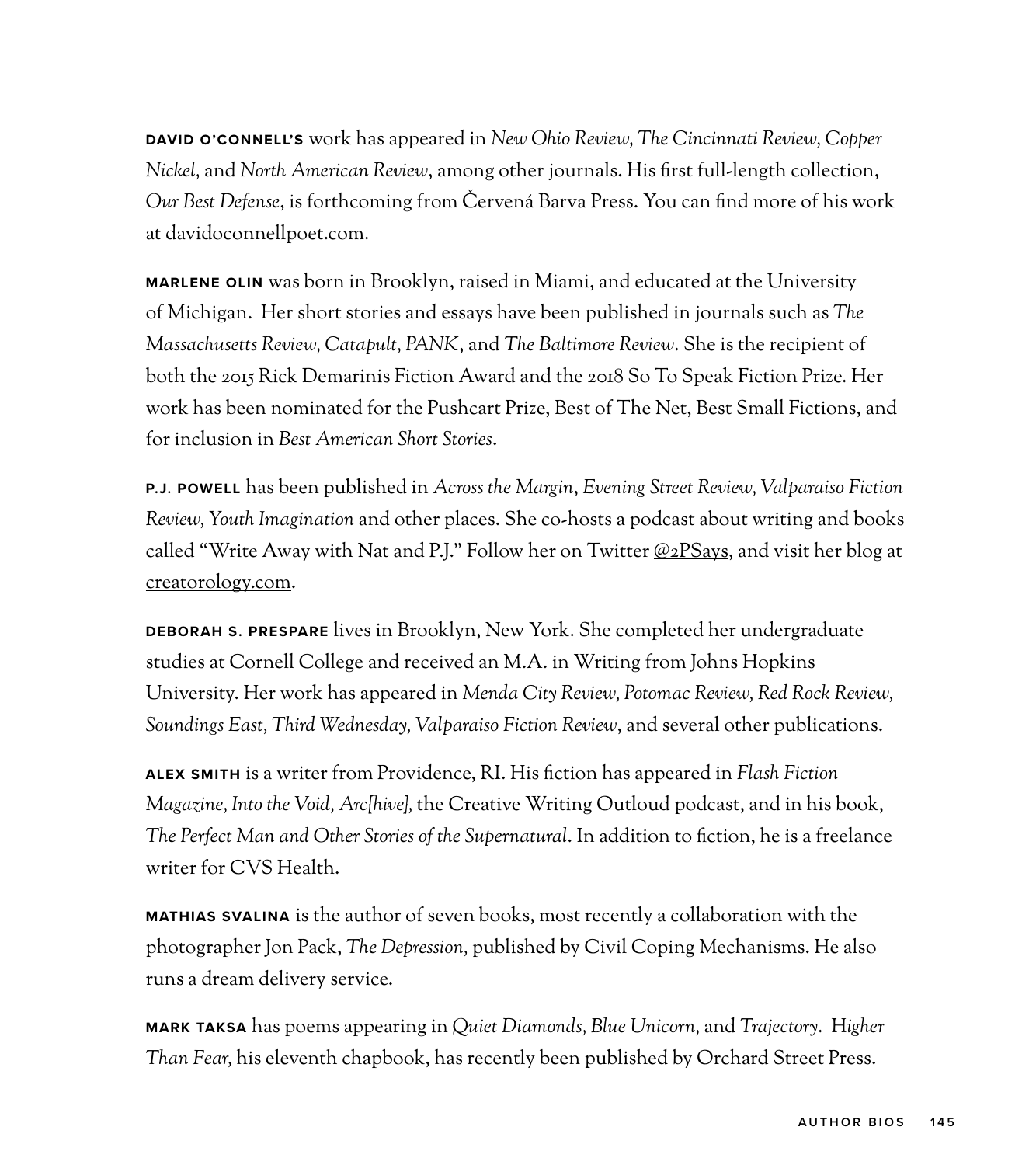**DAVID O'CONNELL'S** work has appeared in *New Ohio Review, The Cincinnati Review, Copper Nickel,* and *North American Review*, among other journals. His first full-length collection, *Our Best Defense*, is forthcoming from Červená Barva Press. You can find more of his work at [davidoconnellpoet.com.](http://davidoconnellpoet.com)

**MARLENE OLIN** was born in Brooklyn, raised in Miami, and educated at the University of Michigan. Her short stories and essays have been published in journals such as *The Massachusetts Review, Catapult, PANK*, and *The Baltimore Review*. She is the recipient of both the 2015 Rick Demarinis Fiction Award and the 2018 So To Speak Fiction Prize. Her work has been nominated for the Pushcart Prize, Best of The Net, Best Small Fictions, and for inclusion in *Best American Short Stories*.

**P.J. POWELL** has been published in *Across the Margin*, *Evening Street Review, Valparaiso Fiction Review, Youth Imagination* and other places. She co-hosts a podcast about writing and books called "Write Away with Nat and P.J." Follow her on Twitter [@2PSays](https://twitter.com/2PSays), and visit her blog at [creatorology.com.](http://creatorology.com)

**DEBORAH S. PRESPARE** lives in Brooklyn, New York. She completed her undergraduate studies at Cornell College and received an M.A. in Writing from Johns Hopkins University. Her work has appeared in *Menda City Review, Potomac Review, Red Rock Review, Soundings East, Third Wednesday, Valparaiso Fiction Review*, and several other publications.

**ALEX SMITH** is a writer from Providence, RI. His fiction has appeared in *Flash Fiction Magazine, Into the Void, Arc{hive},* the Creative Writing Outloud podcast, and in his book, *The Perfect Man and Other Stories of the Supernatural*. In addition to fiction, he is a freelance writer for CVS Health.

**MATHIAS SVALINA** is the author of seven books, most recently a collaboration with the photographer Jon Pack, *The Depression,* published by Civil Coping Mechanisms. He also runs a dream delivery service.

**MARK TAKSA** has poems appearing in *Quiet Diamonds, Blue Unicorn,* and *Trajectory*. H*igher Than Fear,* his eleventh chapbook, has recently been published by Orchard Street Press.